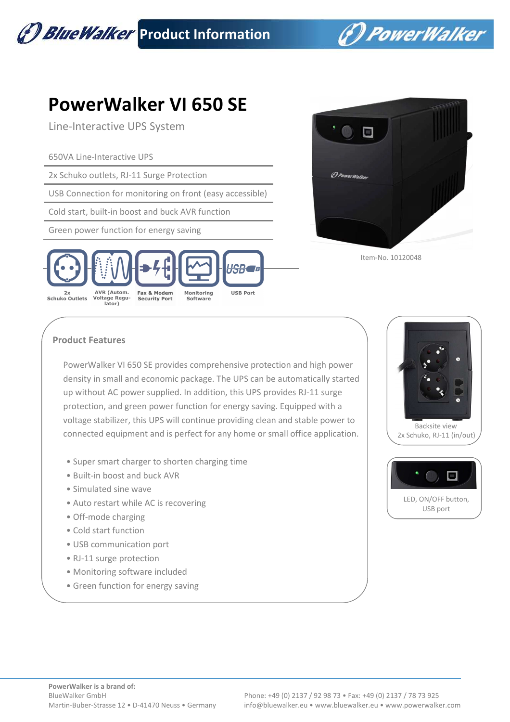

(\*) PowerWalker

## **PowerWalker VI 650 SE**

Line-Interactive UPS System

650VA Line-Interactive UPS

2x Schuko outlets, RJ-11 Surge Protection

USB Connection for monitoring on front (easy accessible)

Cold start, built-in boost and buck AVR function

Green power function for energy saving





Item-No. 10120048

## **Product Features**

PowerWalker VI 650 SE provides comprehensive protection and high power density in small and economic package. The UPS can be automatically started up without AC power supplied. In addition, this UPS provides RJ-11 surge protection, and green power function for energy saving. Equipped with a voltage stabilizer, this UPS will continue providing clean and stable power to connected equipment and is perfect for any home or small office application.

- Super smart charger to shorten charging time
- Built-in boost and buck AVR
- Simulated sine wave
- Auto restart while AC is recovering
- Off-mode charging
- Cold start function
- USB communication port
- RJ-11 surge protection
- Monitoring software included
- Green function for energy saving



 Backsite view 2x Schuko, RJ-11 (in/out)